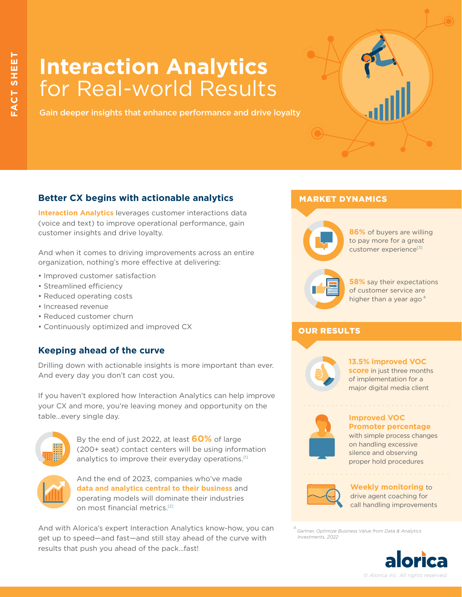# **Interaction Analytics**  for Real-world Results

Gain deeper insights that enhance performance and drive loyalty

## **Better CX begins with actionable analytics**

**Interaction Analytics** leverages customer interactions data (voice and text) to improve operational performance, gain customer insights and drive loyalty.

And when it comes to driving improvements across an entire organization, nothing's more effective at delivering:

- Improved customer satisfaction
- Streamlined efficiency
- Reduced operating costs
- Increased revenue
- Reduced customer churn
- Continuously optimized and improved CX

## **Keeping ahead of the curve**

Drilling down with actionable insights is more important than ever. And every day you don't can cost you.

If you haven't explored how Interaction Analytics can help improve your CX and more, you're leaving money and opportunity on the table…every single day.



By the end of just 2022, at least **60%** of large (200+ seat) contact centers will be using information analytics to improve their everyday operations.<sup>[1]</sup>



And the end of 2023, companies who've made **data and analytics central to their business** and operating models will dominate their industries on most financial metric[s.\[2\]](https://www.talkdesk.com/resources/infographics/the-customer-experience-cx-revolution-in-retail/)

And with Alorica's expert Interaction Analytics know-how, you can get up to speed—and fast—and still stay ahead of the curve with results that push you ahead of the pack…fast!

## MARKET DYNAMICS



**86%** of buyers are willing to pay more for a great customer experience<sup>[3]</sup>



**58%** say their expectations of customer service are higher than a year ago $<sup>4</sup>$ </sup>

## **OUR RESULTS**



#### **13.5% improved VOC score** in just three months of implementation for a

major digital media client

**Improved VOC** 

**Promoter percentage**  with simple process changes on handling excessive silence and observing proper hold procedures



**Weekly monitoring** to drive agent coaching for call handling improvements

*4 Gartner, Optimize Business Value from Data & Analytics Investments, 2022*